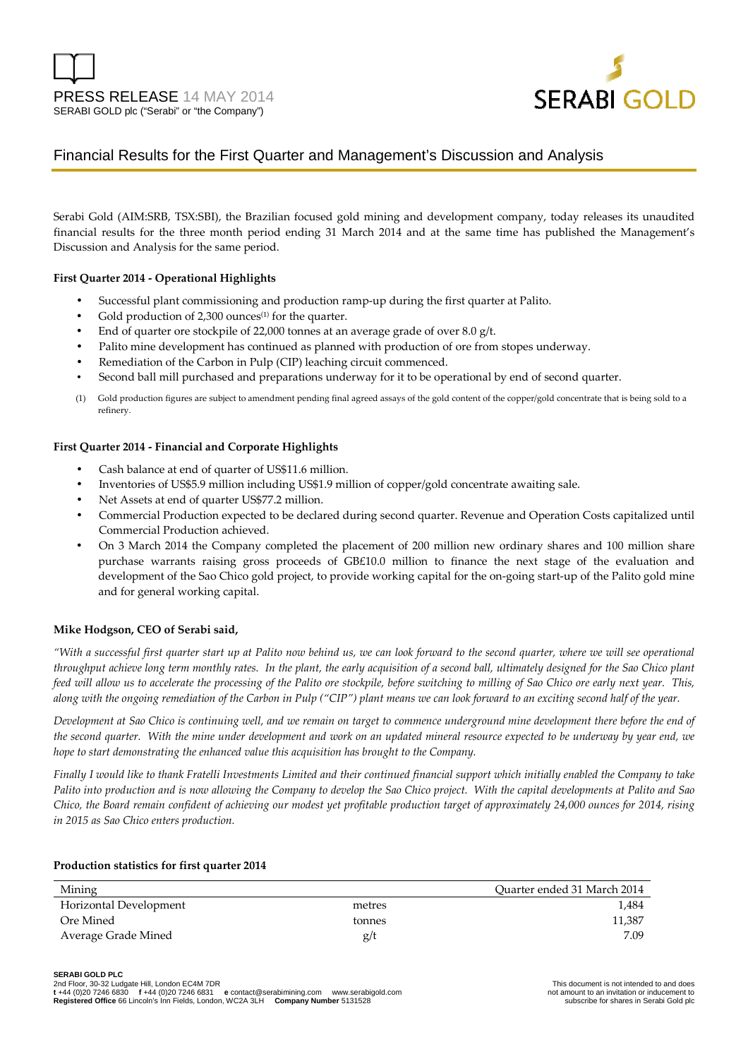

# Financial Results for the First Quarter and Management's Discussion and Analysis

Serabi Gold (AIM:SRB, TSX:SBI), the Brazilian focused gold mining and development company, today releases its unaudited financial results for the three month period ending 31 March 2014 and at the same time has published the Management's Discussion and Analysis for the same period.

## **First Quarter 2014 - Operational Highlights**

- Successful plant commissioning and production ramp-up during the first quarter at Palito.
- Gold production of 2,300 ounces $(1)$  for the quarter.
- End of quarter ore stockpile of 22,000 tonnes at an average grade of over 8.0 g/t.
- Palito mine development has continued as planned with production of ore from stopes underway.
- Remediation of the Carbon in Pulp (CIP) leaching circuit commenced.
- Second ball mill purchased and preparations underway for it to be operational by end of second quarter.
- (1) Gold production figures are subject to amendment pending final agreed assays of the gold content of the copper/gold concentrate that is being sold to a refinery.

## **First Quarter 2014 - Financial and Corporate Highlights**

- Cash balance at end of quarter of US\$11.6 million.
- Inventories of US\$5.9 million including US\$1.9 million of copper/gold concentrate awaiting sale.
- Net Assets at end of quarter US\$77.2 million.
- Commercial Production expected to be declared during second quarter. Revenue and Operation Costs capitalized until Commercial Production achieved.
- On 3 March 2014 the Company completed the placement of 200 million new ordinary shares and 100 million share purchase warrants raising gross proceeds of GB£10.0 million to finance the next stage of the evaluation and development of the Sao Chico gold project, to provide working capital for the on-going start-up of the Palito gold mine and for general working capital.

# **Mike Hodgson, CEO of Serabi said,**

*"With a successful first quarter start up at Palito now behind us, we can look forward to the second quarter, where we will see operational throughput achieve long term monthly rates. In the plant, the early acquisition of a second ball, ultimately designed for the Sao Chico plant feed will allow us to accelerate the processing of the Palito ore stockpile, before switching to milling of Sao Chico ore early next year. This, along with the ongoing remediation of the Carbon in Pulp ("CIP") plant means we can look forward to an exciting second half of the year.* 

*Development at Sao Chico is continuing well, and we remain on target to commence underground mine development there before the end of the second quarter. With the mine under development and work on an updated mineral resource expected to be underway by year end, we hope to start demonstrating the enhanced value this acquisition has brought to the Company.* 

*Finally I would like to thank Fratelli Investments Limited and their continued financial support which initially enabled the Company to take Palito into production and is now allowing the Company to develop the Sao Chico project. With the capital developments at Palito and Sao Chico, the Board remain confident of achieving our modest yet profitable production target of approximately 24,000 ounces for 2014, rising in 2015 as Sao Chico enters production.* 

## **Production statistics for first quarter 2014**

| Mining                 |        | Ouarter ended 31 March 2014 |
|------------------------|--------|-----------------------------|
| Horizontal Development | metres | 1.484                       |
| Ore Mined              | tonnes | 11,387                      |
| Average Grade Mined    | g/t    | 7.09                        |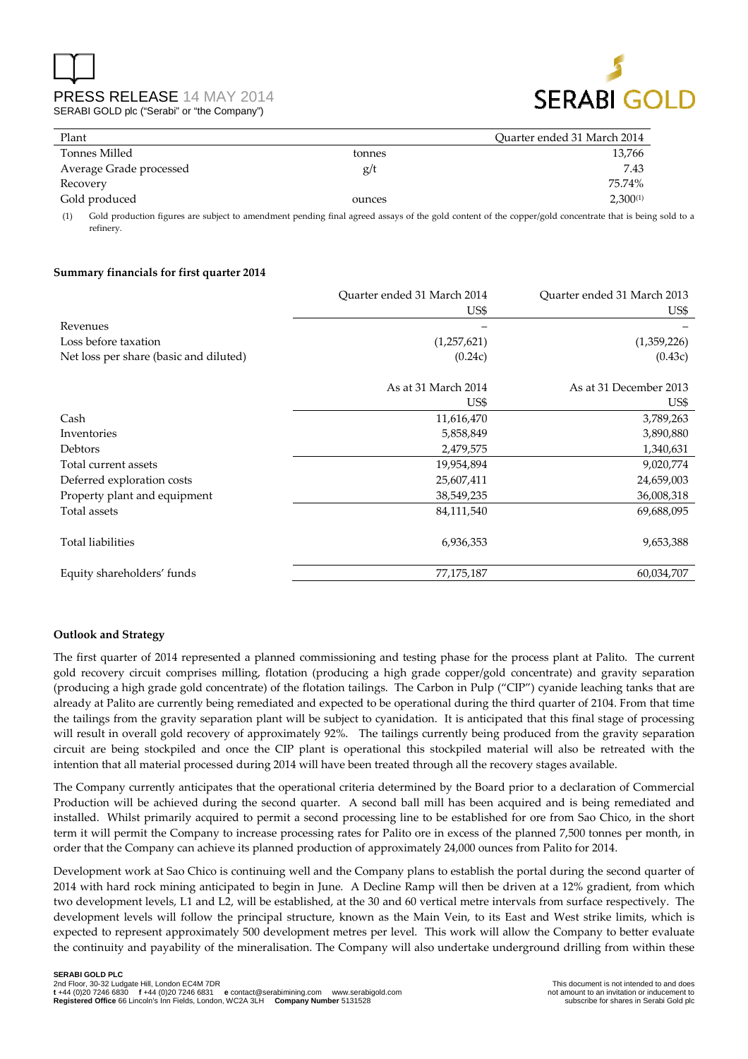

| Plant                   |        | Ouarter ended 31 March 2014 |
|-------------------------|--------|-----------------------------|
| Tonnes Milled           | tonnes | 13,766                      |
| Average Grade processed | g/t    | 7.43                        |
| Recovery                |        | 75.74%                      |
| Gold produced           | ounces | $2,300^{(1)}$               |

(1) Gold production figures are subject to amendment pending final agreed assays of the gold content of the copper/gold concentrate that is being sold to a refinery.

# **Summary financials for first quarter 2014**

|                                        | Quarter ended 31 March 2014 | Quarter ended 31 March 2013 |
|----------------------------------------|-----------------------------|-----------------------------|
|                                        | US\$                        | US\$                        |
| Revenues                               |                             |                             |
| Loss before taxation                   | (1,257,621)                 | (1,359,226)                 |
| Net loss per share (basic and diluted) | (0.24c)                     | (0.43c)                     |
|                                        | As at 31 March 2014         | As at 31 December 2013      |
|                                        | US\$                        | US\$                        |
| Cash                                   | 11,616,470                  | 3,789,263                   |
| Inventories                            | 5,858,849                   | 3,890,880                   |
| <b>Debtors</b>                         | 2,479,575                   | 1,340,631                   |
| Total current assets                   | 19,954,894                  | 9,020,774                   |
| Deferred exploration costs             | 25,607,411                  | 24,659,003                  |
| Property plant and equipment           | 38,549,235                  | 36,008,318                  |
| Total assets                           | 84,111,540                  | 69,688,095                  |
| <b>Total liabilities</b>               | 6,936,353                   | 9,653,388                   |
| Equity shareholders' funds             | 77,175,187                  | 60,034,707                  |

# **Outlook and Strategy**

The first quarter of 2014 represented a planned commissioning and testing phase for the process plant at Palito. The current gold recovery circuit comprises milling, flotation (producing a high grade copper/gold concentrate) and gravity separation (producing a high grade gold concentrate) of the flotation tailings. The Carbon in Pulp ("CIP") cyanide leaching tanks that are already at Palito are currently being remediated and expected to be operational during the third quarter of 2104. From that time the tailings from the gravity separation plant will be subject to cyanidation. It is anticipated that this final stage of processing will result in overall gold recovery of approximately 92%. The tailings currently being produced from the gravity separation circuit are being stockpiled and once the CIP plant is operational this stockpiled material will also be retreated with the intention that all material processed during 2014 will have been treated through all the recovery stages available.

The Company currently anticipates that the operational criteria determined by the Board prior to a declaration of Commercial Production will be achieved during the second quarter. A second ball mill has been acquired and is being remediated and installed. Whilst primarily acquired to permit a second processing line to be established for ore from Sao Chico, in the short term it will permit the Company to increase processing rates for Palito ore in excess of the planned 7,500 tonnes per month, in order that the Company can achieve its planned production of approximately 24,000 ounces from Palito for 2014.

Development work at Sao Chico is continuing well and the Company plans to establish the portal during the second quarter of 2014 with hard rock mining anticipated to begin in June. A Decline Ramp will then be driven at a 12% gradient, from which two development levels, L1 and L2, will be established, at the 30 and 60 vertical metre intervals from surface respectively. The development levels will follow the principal structure, known as the Main Vein, to its East and West strike limits, which is expected to represent approximately 500 development metres per level. This work will allow the Company to better evaluate the continuity and payability of the mineralisation. The Company will also undertake underground drilling from within these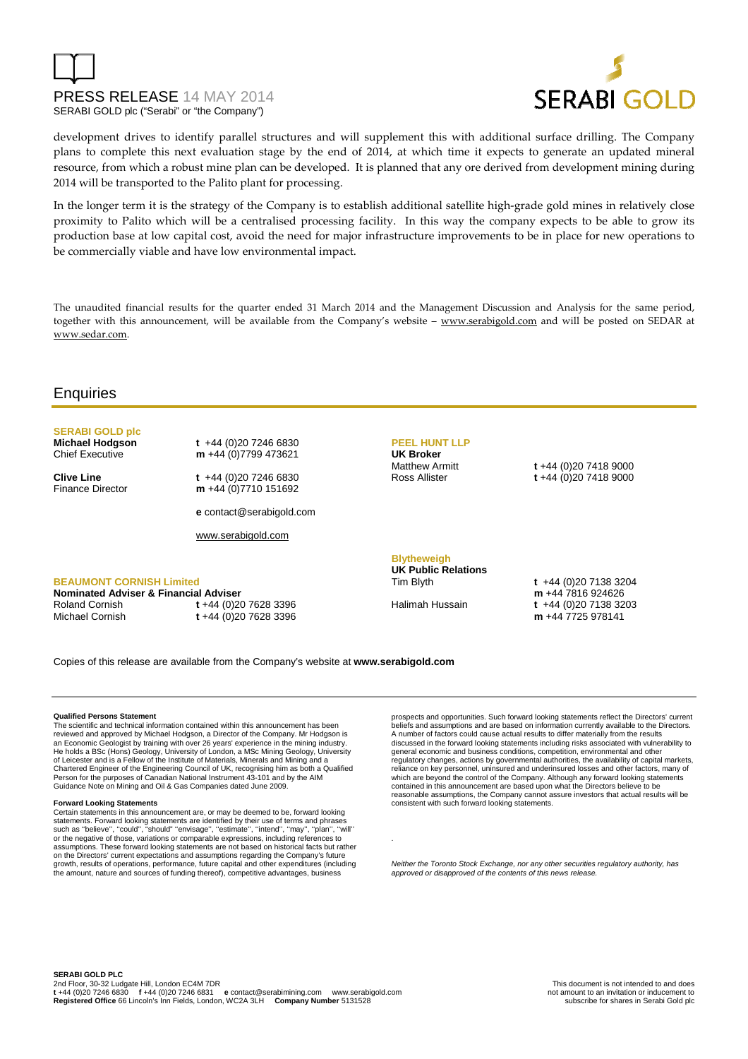

development drives to identify parallel structures and will supplement this with additional surface drilling. The Company plans to complete this next evaluation stage by the end of 2014, at which time it expects to generate an updated mineral resource, from which a robust mine plan can be developed. It is planned that any ore derived from development mining during 2014 will be transported to the Palito plant for processing.

In the longer term it is the strategy of the Company is to establish additional satellite high-grade gold mines in relatively close proximity to Palito which will be a centralised processing facility. In this way the company expects to be able to grow its production base at low capital cost, avoid the need for major infrastructure improvements to be in place for new operations to be commercially viable and have low environmental impact.

The unaudited financial results for the quarter ended 31 March 2014 and the Management Discussion and Analysis for the same period, together with this announcement, will be available from the Company's website – www.serabigold.com and will be posted on SEDAR at www.sedar.com.

# **Enquiries**

**SERABI GOLD plc** 

**Clive Line t** +44 (0)20 7246 6830

**Michael Hodgson t** +44 (0)20 7246 6830 Chief Executive **m** +44 (0)7799 473621

Finance Director **m** +44 (0)7710 151692

**e** contact@serabigold.com

www.serabigold.com

#### **PEEL HUNT LLP UK Broker**

Matthew Armitt **t** +44 (0)20 7418 9000 Ross Allister **t** +44 (0)20 7418 9000

# **Blytheweigh**

**UK Public Relations** 

.

Tim Blyth **t** +44 (0)20 7138 3204 **m** +44 7816 924626 Halimah Hussain **t** +44 (0)20 7138 3203 **m** +44 7725 978141

**Nominated Adviser & Financial Adviser** 

**BEAUMONT CORNISH Limited** 

Roland Cornish **t** +44 (0)20 7628 3396 Michael Cornish **t** +44 (0)20 7628 3396

### Copies of this release are available from the Company's website at **www.serabigold.com**

#### **Qualified Persons Statement**

The scientific and technical information contained within this announcement has been reviewed and approved by Michael Hodgson, a Director of the Company. Mr Hodgson is an Economic Geologist by training with over 26 years' experience in the mining industry. He holds a BSc (Hons) Geology, University of London, a MSc Mining Geology, University of Leicester and is a Fellow of the Institute of Materials, Minerals and Mining and a Chartered Engineer of the Engineering Council of UK, recognising him as both a Qualified Person for the purposes of Canadian National Instrument 43-101 and by the AIM Guidance Note on Mining and Oil & Gas Companies dated June 2009.

#### **Forward Looking Statements**

Certain statements in this announcement are, or may be deemed to be, forward looking statements. Forward looking statements are identified by their use of terms and phrases<br>such as "believe", "could", "should" "envisage", "estimate", "intend", "may", "plan", "will"<br>or the negative of those, variations or c on the Directors' current expectations and assumptions regarding the Company's future growth, results of operations, performance, future capital and other expenditures (including the amount, nature and sources of funding thereof), competitive advantages, business

prospects and opportunities. Such forward looking statements reflect the Directors' current beliefs and assumptions and are based on information currently available to the Directors. A number of factors could cause actual results to differ materially from the results discussed in the forward looking statements including risks associated with vulnerability to general economic and business conditions, competition, environmental and other regulatory changes, actions by governmental authorities, the availability of capital markets,<br>reliance on key personnel, uninsured and underinsured losses and other factors, many of<br>which are beyond the control of the Comp contained in this announcement are based upon what the Directors believe to be reasonable assumptions, the Company cannot assure investors that actual results will be consistent with such forward looking statements.

Neither the Toronto Stock Exchange, nor any other securities regulatory authority, has approved or disapproved of the contents of this news release.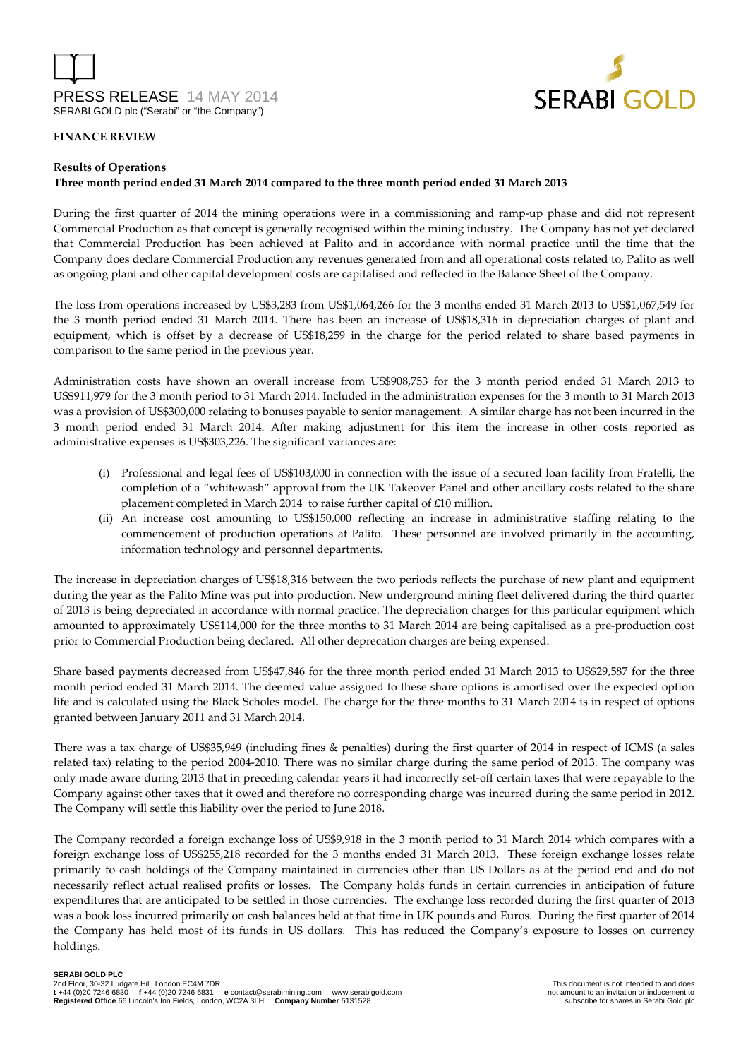



## **FINANCE REVIEW**

# **Results of Operations**

## **Three month period ended 31 March 2014 compared to the three month period ended 31 March 2013**

During the first quarter of 2014 the mining operations were in a commissioning and ramp-up phase and did not represent Commercial Production as that concept is generally recognised within the mining industry. The Company has not yet declared that Commercial Production has been achieved at Palito and in accordance with normal practice until the time that the Company does declare Commercial Production any revenues generated from and all operational costs related to, Palito as well as ongoing plant and other capital development costs are capitalised and reflected in the Balance Sheet of the Company.

The loss from operations increased by US\$3,283 from US\$1,064,266 for the 3 months ended 31 March 2013 to US\$1,067,549 for the 3 month period ended 31 March 2014. There has been an increase of US\$18,316 in depreciation charges of plant and equipment, which is offset by a decrease of US\$18,259 in the charge for the period related to share based payments in comparison to the same period in the previous year.

Administration costs have shown an overall increase from US\$908,753 for the 3 month period ended 31 March 2013 to US\$911,979 for the 3 month period to 31 March 2014. Included in the administration expenses for the 3 month to 31 March 2013 was a provision of US\$300,000 relating to bonuses payable to senior management. A similar charge has not been incurred in the 3 month period ended 31 March 2014. After making adjustment for this item the increase in other costs reported as administrative expenses is US\$303,226. The significant variances are:

- (i) Professional and legal fees of US\$103,000 in connection with the issue of a secured loan facility from Fratelli, the completion of a "whitewash" approval from the UK Takeover Panel and other ancillary costs related to the share placement completed in March 2014 to raise further capital of £10 million.
- (ii) An increase cost amounting to US\$150,000 reflecting an increase in administrative staffing relating to the commencement of production operations at Palito. These personnel are involved primarily in the accounting, information technology and personnel departments.

The increase in depreciation charges of US\$18,316 between the two periods reflects the purchase of new plant and equipment during the year as the Palito Mine was put into production. New underground mining fleet delivered during the third quarter of 2013 is being depreciated in accordance with normal practice. The depreciation charges for this particular equipment which amounted to approximately US\$114,000 for the three months to 31 March 2014 are being capitalised as a pre-production cost prior to Commercial Production being declared. All other deprecation charges are being expensed.

Share based payments decreased from US\$47,846 for the three month period ended 31 March 2013 to US\$29,587 for the three month period ended 31 March 2014. The deemed value assigned to these share options is amortised over the expected option life and is calculated using the Black Scholes model. The charge for the three months to 31 March 2014 is in respect of options granted between January 2011 and 31 March 2014.

There was a tax charge of US\$35,949 (including fines & penalties) during the first quarter of 2014 in respect of ICMS (a sales related tax) relating to the period 2004-2010. There was no similar charge during the same period of 2013. The company was only made aware during 2013 that in preceding calendar years it had incorrectly set-off certain taxes that were repayable to the Company against other taxes that it owed and therefore no corresponding charge was incurred during the same period in 2012. The Company will settle this liability over the period to June 2018.

The Company recorded a foreign exchange loss of US\$9,918 in the 3 month period to 31 March 2014 which compares with a foreign exchange loss of US\$255,218 recorded for the 3 months ended 31 March 2013. These foreign exchange losses relate primarily to cash holdings of the Company maintained in currencies other than US Dollars as at the period end and do not necessarily reflect actual realised profits or losses. The Company holds funds in certain currencies in anticipation of future expenditures that are anticipated to be settled in those currencies. The exchange loss recorded during the first quarter of 2013 was a book loss incurred primarily on cash balances held at that time in UK pounds and Euros. During the first quarter of 2014 the Company has held most of its funds in US dollars. This has reduced the Company's exposure to losses on currency holdings.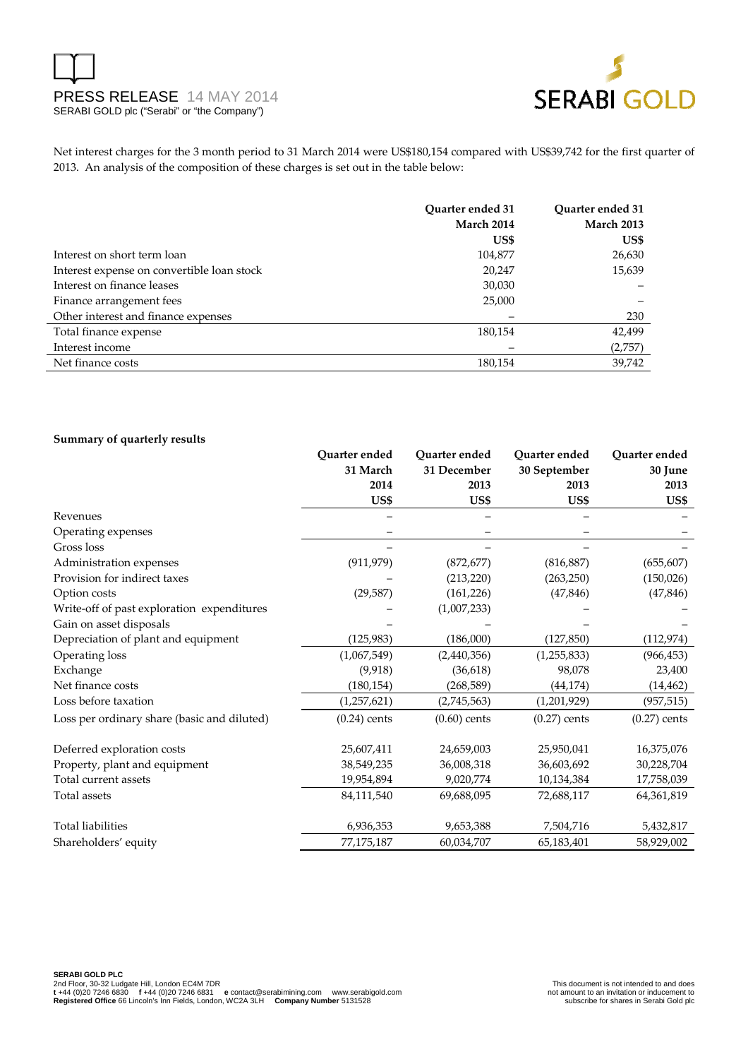

Net interest charges for the 3 month period to 31 March 2014 were US\$180,154 compared with US\$39,742 for the first quarter of 2013. An analysis of the composition of these charges is set out in the table below:

|                                            | <b>Quarter ended 31</b> | Ouarter ended 31  |
|--------------------------------------------|-------------------------|-------------------|
|                                            | <b>March 2014</b>       | <b>March 2013</b> |
|                                            | US\$                    | US\$              |
| Interest on short term loan                | 104,877                 | 26,630            |
| Interest expense on convertible loan stock | 20,247                  | 15,639            |
| Interest on finance leases                 | 30,030                  |                   |
| Finance arrangement fees                   | 25,000                  |                   |
| Other interest and finance expenses        |                         | 230               |
| Total finance expense                      | 180,154                 | 42,499            |
| Interest income                            |                         | (2,757)           |
| Net finance costs                          | 180,154                 | 39,742            |

# **Summary of quarterly results**

|                                             | Ouarter ended  | Quarter ended  | Ouarter ended  | Quarter ended  |
|---------------------------------------------|----------------|----------------|----------------|----------------|
|                                             | 31 March       | 31 December    | 30 September   | 30 June        |
|                                             | 2014           | 2013           | 2013           | 2013           |
|                                             | US\$           | US\$           | US\$           | US\$           |
| Revenues                                    |                |                |                |                |
| Operating expenses                          |                |                |                |                |
| Gross loss                                  |                |                |                |                |
| Administration expenses                     | (911, 979)     | (872, 677)     | (816, 887)     | (655, 607)     |
| Provision for indirect taxes                |                | (213, 220)     | (263, 250)     | (150, 026)     |
| Option costs                                | (29, 587)      | (161, 226)     | (47, 846)      | (47, 846)      |
| Write-off of past exploration expenditures  |                | (1,007,233)    |                |                |
| Gain on asset disposals                     |                |                |                |                |
| Depreciation of plant and equipment         | (125, 983)     | (186,000)      | (127, 850)     | (112, 974)     |
| Operating loss                              | (1,067,549)    | (2,440,356)    | (1,255,833)    | (966, 453)     |
| Exchange                                    | (9,918)        | (36, 618)      | 98,078         | 23,400         |
| Net finance costs                           | (180, 154)     | (268, 589)     | (44, 174)      | (14,462)       |
| Loss before taxation                        | (1, 257, 621)  | (2,745,563)    | (1,201,929)    | (957, 515)     |
| Loss per ordinary share (basic and diluted) | $(0.24)$ cents | $(0.60)$ cents | $(0.27)$ cents | $(0.27)$ cents |
| Deferred exploration costs                  | 25,607,411     | 24,659,003     | 25,950,041     | 16,375,076     |
| Property, plant and equipment               | 38,549,235     | 36,008,318     | 36,603,692     | 30,228,704     |
| Total current assets                        | 19,954,894     | 9,020,774      | 10,134,384     | 17,758,039     |
| Total assets                                | 84,111,540     | 69,688,095     | 72,688,117     | 64,361,819     |
| <b>Total liabilities</b>                    | 6,936,353      | 9,653,388      | 7,504,716      | 5,432,817      |
| Shareholders' equity                        | 77,175,187     | 60,034,707     | 65,183,401     | 58,929,002     |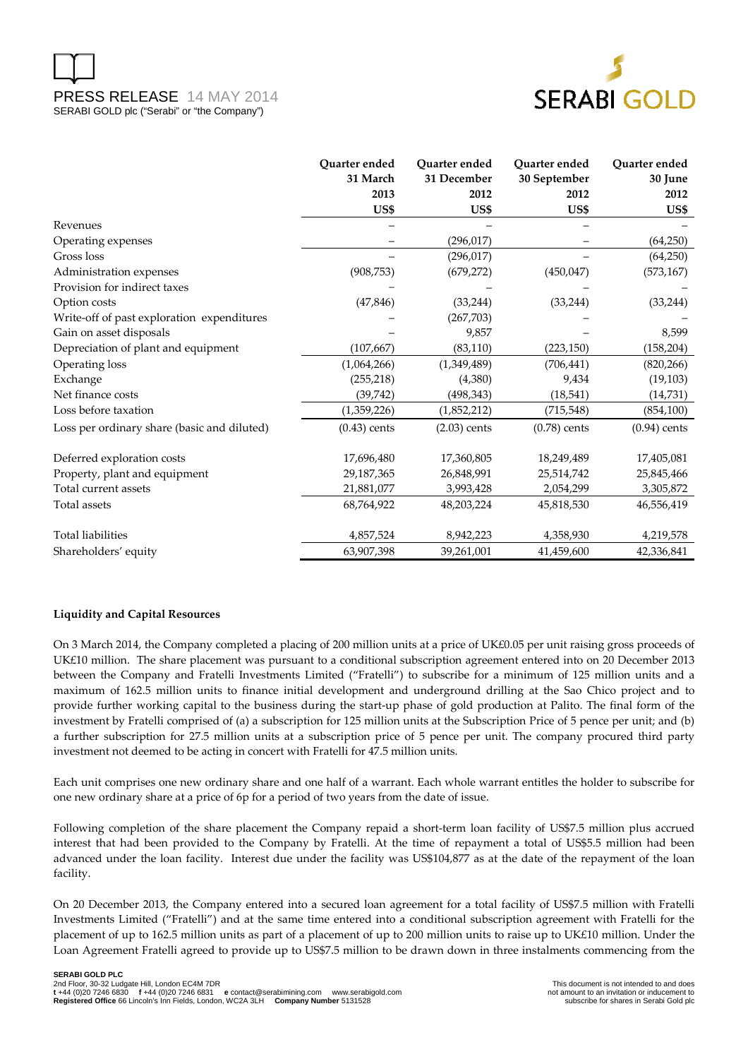

|                                             | Quarter ended  | Quarter ended  | Ouarter ended  | Quarter ended  |
|---------------------------------------------|----------------|----------------|----------------|----------------|
|                                             | 31 March       | 31 December    | 30 September   | 30 June        |
|                                             | 2013           | 2012           | 2012           | 2012           |
|                                             | US\$           | US\$           | US\$           | US\$           |
| Revenues                                    |                |                |                |                |
| Operating expenses                          |                | (296, 017)     |                | (64,250)       |
| Gross loss                                  |                | (296, 017)     |                | (64,250)       |
| Administration expenses                     | (908, 753)     | (679, 272)     | (450, 047)     | (573, 167)     |
| Provision for indirect taxes                |                |                |                |                |
| Option costs                                | (47, 846)      | (33, 244)      | (33, 244)      | (33, 244)      |
| Write-off of past exploration expenditures  |                | (267, 703)     |                |                |
| Gain on asset disposals                     |                | 9,857          |                | 8,599          |
| Depreciation of plant and equipment         | (107, 667)     | (83, 110)      | (223, 150)     | (158, 204)     |
| Operating loss                              | (1,064,266)    | (1,349,489)    | (706, 441)     | (820, 266)     |
| Exchange                                    | (255, 218)     | (4,380)        | 9,434          | (19, 103)      |
| Net finance costs                           | (39, 742)      | (498, 343)     | (18, 541)      | (14, 731)      |
| Loss before taxation                        | (1,359,226)    | (1,852,212)    | (715, 548)     | (854, 100)     |
| Loss per ordinary share (basic and diluted) | $(0.43)$ cents | $(2.03)$ cents | $(0.78)$ cents | $(0.94)$ cents |
| Deferred exploration costs                  | 17,696,480     | 17,360,805     | 18,249,489     | 17,405,081     |
| Property, plant and equipment               | 29,187,365     | 26,848,991     | 25,514,742     | 25,845,466     |
| Total current assets                        | 21,881,077     | 3,993,428      | 2,054,299      | 3,305,872      |
| Total assets                                | 68,764,922     | 48,203,224     | 45,818,530     | 46,556,419     |
| <b>Total liabilities</b>                    | 4,857,524      | 8,942,223      | 4,358,930      | 4,219,578      |
| Shareholders' equity                        | 63,907,398     | 39,261,001     | 41,459,600     | 42,336,841     |

# **Liquidity and Capital Resources**

On 3 March 2014, the Company completed a placing of 200 million units at a price of UK£0.05 per unit raising gross proceeds of UK£10 million. The share placement was pursuant to a conditional subscription agreement entered into on 20 December 2013 between the Company and Fratelli Investments Limited ("Fratelli") to subscribe for a minimum of 125 million units and a maximum of 162.5 million units to finance initial development and underground drilling at the Sao Chico project and to provide further working capital to the business during the start-up phase of gold production at Palito. The final form of the investment by Fratelli comprised of (a) a subscription for 125 million units at the Subscription Price of 5 pence per unit; and (b) a further subscription for 27.5 million units at a subscription price of 5 pence per unit. The company procured third party investment not deemed to be acting in concert with Fratelli for 47.5 million units.

Each unit comprises one new ordinary share and one half of a warrant. Each whole warrant entitles the holder to subscribe for one new ordinary share at a price of 6p for a period of two years from the date of issue.

Following completion of the share placement the Company repaid a short-term loan facility of US\$7.5 million plus accrued interest that had been provided to the Company by Fratelli. At the time of repayment a total of US\$5.5 million had been advanced under the loan facility. Interest due under the facility was US\$104,877 as at the date of the repayment of the loan facility.

On 20 December 2013, the Company entered into a secured loan agreement for a total facility of US\$7.5 million with Fratelli Investments Limited ("Fratelli") and at the same time entered into a conditional subscription agreement with Fratelli for the placement of up to 162.5 million units as part of a placement of up to 200 million units to raise up to UK£10 million. Under the Loan Agreement Fratelli agreed to provide up to US\$7.5 million to be drawn down in three instalments commencing from the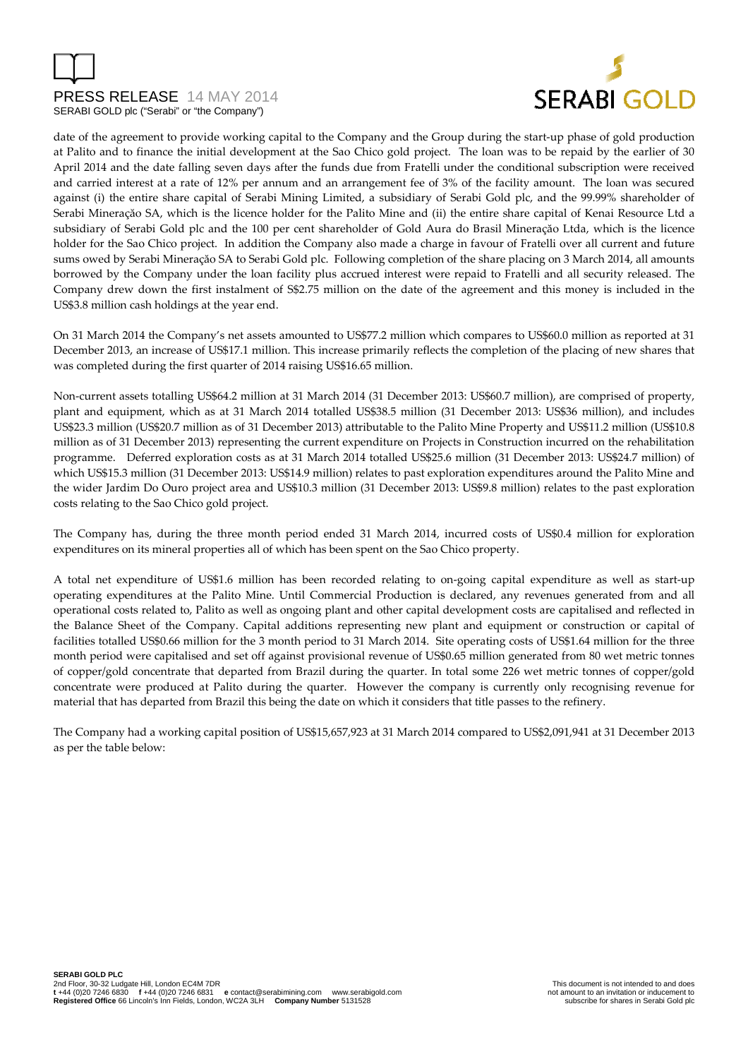

date of the agreement to provide working capital to the Company and the Group during the start-up phase of gold production at Palito and to finance the initial development at the Sao Chico gold project. The loan was to be repaid by the earlier of 30 April 2014 and the date falling seven days after the funds due from Fratelli under the conditional subscription were received and carried interest at a rate of 12% per annum and an arrangement fee of 3% of the facility amount. The loan was secured against (i) the entire share capital of Serabi Mining Limited, a subsidiary of Serabi Gold plc, and the 99.99% shareholder of Serabi Mineraçăo SA, which is the licence holder for the Palito Mine and (ii) the entire share capital of Kenai Resource Ltd a subsidiary of Serabi Gold plc and the 100 per cent shareholder of Gold Aura do Brasil Mineraçăo Ltda, which is the licence holder for the Sao Chico project. In addition the Company also made a charge in favour of Fratelli over all current and future sums owed by Serabi Mineraçăo SA to Serabi Gold plc. Following completion of the share placing on 3 March 2014, all amounts borrowed by the Company under the loan facility plus accrued interest were repaid to Fratelli and all security released. The Company drew down the first instalment of S\$2.75 million on the date of the agreement and this money is included in the US\$3.8 million cash holdings at the year end.

On 31 March 2014 the Company's net assets amounted to US\$77.2 million which compares to US\$60.0 million as reported at 31 December 2013, an increase of US\$17.1 million. This increase primarily reflects the completion of the placing of new shares that was completed during the first quarter of 2014 raising US\$16.65 million.

Non-current assets totalling US\$64.2 million at 31 March 2014 (31 December 2013: US\$60.7 million), are comprised of property, plant and equipment, which as at 31 March 2014 totalled US\$38.5 million (31 December 2013: US\$36 million), and includes US\$23.3 million (US\$20.7 million as of 31 December 2013) attributable to the Palito Mine Property and US\$11.2 million (US\$10.8 million as of 31 December 2013) representing the current expenditure on Projects in Construction incurred on the rehabilitation programme. Deferred exploration costs as at 31 March 2014 totalled US\$25.6 million (31 December 2013: US\$24.7 million) of which US\$15.3 million (31 December 2013: US\$14.9 million) relates to past exploration expenditures around the Palito Mine and the wider Jardim Do Ouro project area and US\$10.3 million (31 December 2013: US\$9.8 million) relates to the past exploration costs relating to the Sao Chico gold project.

The Company has, during the three month period ended 31 March 2014, incurred costs of US\$0.4 million for exploration expenditures on its mineral properties all of which has been spent on the Sao Chico property.

A total net expenditure of US\$1.6 million has been recorded relating to on-going capital expenditure as well as start-up operating expenditures at the Palito Mine. Until Commercial Production is declared, any revenues generated from and all operational costs related to, Palito as well as ongoing plant and other capital development costs are capitalised and reflected in the Balance Sheet of the Company. Capital additions representing new plant and equipment or construction or capital of facilities totalled US\$0.66 million for the 3 month period to 31 March 2014. Site operating costs of US\$1.64 million for the three month period were capitalised and set off against provisional revenue of US\$0.65 million generated from 80 wet metric tonnes of copper/gold concentrate that departed from Brazil during the quarter. In total some 226 wet metric tonnes of copper/gold concentrate were produced at Palito during the quarter. However the company is currently only recognising revenue for material that has departed from Brazil this being the date on which it considers that title passes to the refinery.

The Company had a working capital position of US\$15,657,923 at 31 March 2014 compared to US\$2,091,941 at 31 December 2013 as per the table below: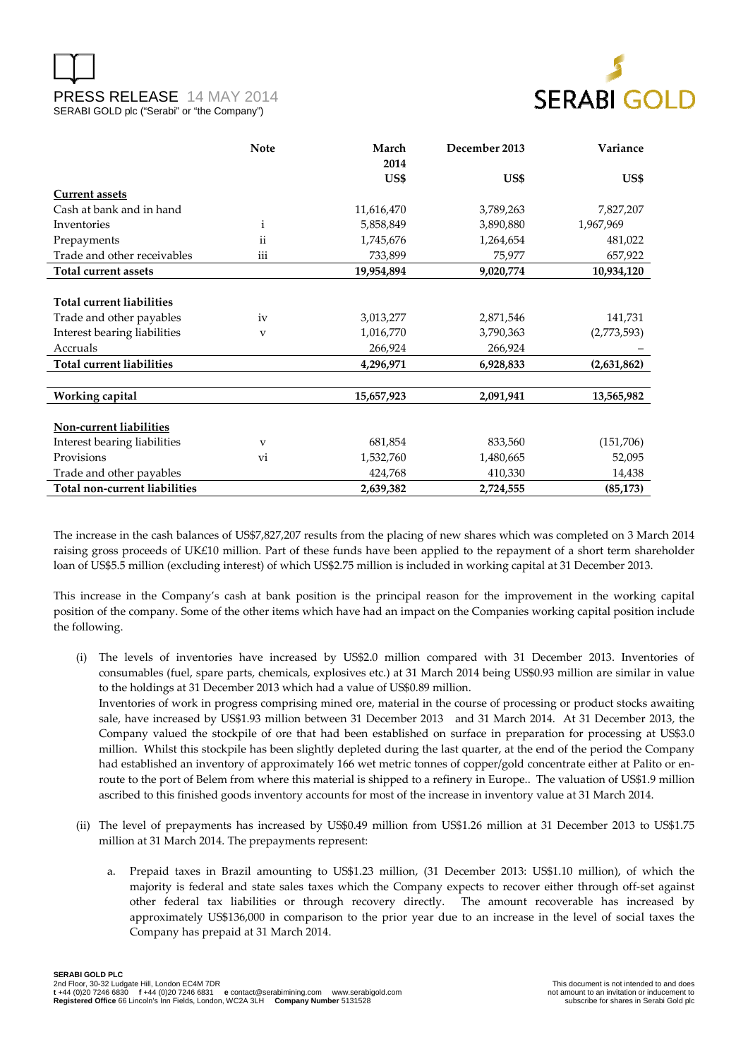

|                                  | <b>Note</b>  | March      | December 2013 | Variance    |
|----------------------------------|--------------|------------|---------------|-------------|
|                                  |              | 2014       |               |             |
|                                  |              | US\$       | US\$          | US\$        |
| <b>Current assets</b>            |              |            |               |             |
| Cash at bank and in hand         |              | 11,616,470 | 3,789,263     | 7,827,207   |
| Inventories                      | i            | 5,858,849  | 3,890,880     | 1,967,969   |
| Prepayments                      | ii           | 1,745,676  | 1,264,654     | 481,022     |
| Trade and other receivables      | iii          | 733,899    | 75,977        | 657,922     |
| Total current assets             |              | 19,954,894 | 9,020,774     | 10,934,120  |
|                                  |              |            |               |             |
| <b>Total current liabilities</b> |              |            |               |             |
| Trade and other payables         | iv           | 3,013,277  | 2,871,546     | 141,731     |
| Interest bearing liabilities     | $\mathbf{V}$ | 1,016,770  | 3,790,363     | (2,773,593) |
| Accruals                         |              | 266,924    | 266,924       |             |
| <b>Total current liabilities</b> |              | 4,296,971  | 6,928,833     | (2,631,862) |
|                                  |              |            |               |             |
| Working capital                  |              | 15,657,923 | 2,091,941     | 13,565,982  |
|                                  |              |            |               |             |
| Non-current liabilities          |              |            |               |             |
| Interest bearing liabilities     | $\mathbf{V}$ | 681,854    | 833,560       | (151,706)   |
| Provisions                       | vi           | 1,532,760  | 1,480,665     | 52,095      |
| Trade and other payables         |              | 424,768    | 410,330       | 14,438      |
| Total non-current liabilities    |              | 2,639,382  | 2,724,555     | (85, 173)   |

The increase in the cash balances of US\$7,827,207 results from the placing of new shares which was completed on 3 March 2014 raising gross proceeds of UK£10 million. Part of these funds have been applied to the repayment of a short term shareholder loan of US\$5.5 million (excluding interest) of which US\$2.75 million is included in working capital at 31 December 2013.

This increase in the Company's cash at bank position is the principal reason for the improvement in the working capital position of the company. Some of the other items which have had an impact on the Companies working capital position include the following.

- (i) The levels of inventories have increased by US\$2.0 million compared with 31 December 2013. Inventories of consumables (fuel, spare parts, chemicals, explosives etc.) at 31 March 2014 being US\$0.93 million are similar in value to the holdings at 31 December 2013 which had a value of US\$0.89 million. Inventories of work in progress comprising mined ore, material in the course of processing or product stocks awaiting sale, have increased by US\$1.93 million between 31 December 2013 and 31 March 2014. At 31 December 2013, the Company valued the stockpile of ore that had been established on surface in preparation for processing at US\$3.0 million. Whilst this stockpile has been slightly depleted during the last quarter, at the end of the period the Company had established an inventory of approximately 166 wet metric tonnes of copper/gold concentrate either at Palito or enroute to the port of Belem from where this material is shipped to a refinery in Europe.. The valuation of US\$1.9 million
- (ii) The level of prepayments has increased by US\$0.49 million from US\$1.26 million at 31 December 2013 to US\$1.75 million at 31 March 2014. The prepayments represent:

ascribed to this finished goods inventory accounts for most of the increase in inventory value at 31 March 2014.

a. Prepaid taxes in Brazil amounting to US\$1.23 million, (31 December 2013: US\$1.10 million), of which the majority is federal and state sales taxes which the Company expects to recover either through off-set against other federal tax liabilities or through recovery directly. The amount recoverable has increased by approximately US\$136,000 in comparison to the prior year due to an increase in the level of social taxes the Company has prepaid at 31 March 2014.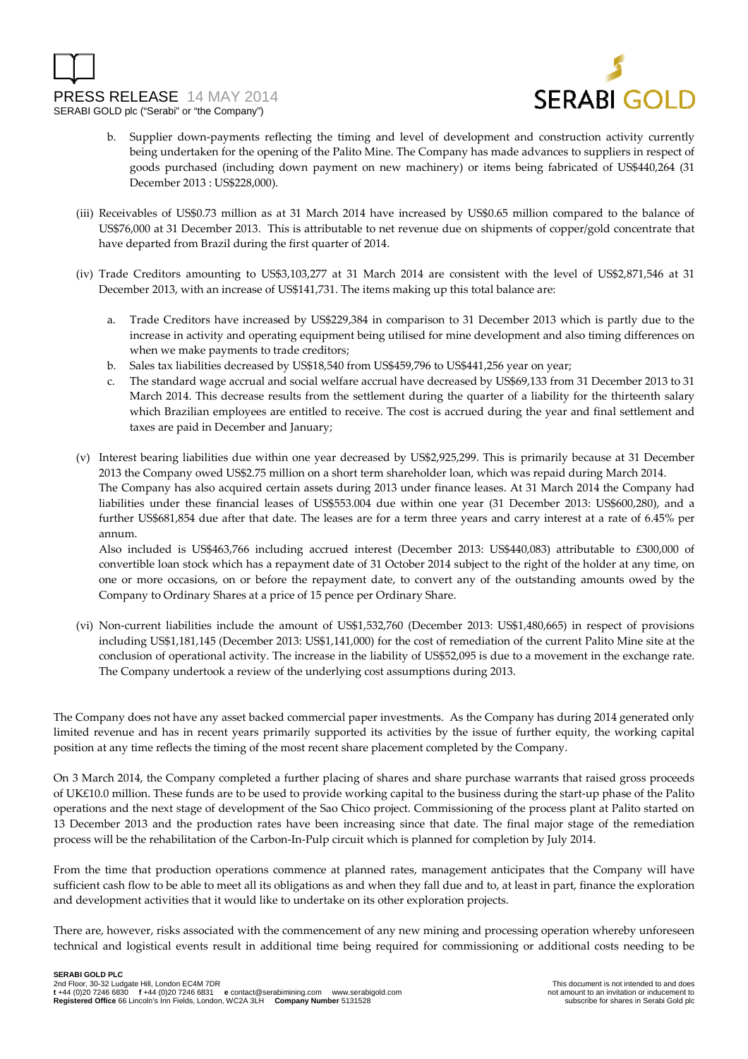

- b. Supplier down-payments reflecting the timing and level of development and construction activity currently being undertaken for the opening of the Palito Mine. The Company has made advances to suppliers in respect of goods purchased (including down payment on new machinery) or items being fabricated of US\$440,264 (31 December 2013 : US\$228,000).
- (iii) Receivables of US\$0.73 million as at 31 March 2014 have increased by US\$0.65 million compared to the balance of US\$76,000 at 31 December 2013. This is attributable to net revenue due on shipments of copper/gold concentrate that have departed from Brazil during the first quarter of 2014.
- (iv) Trade Creditors amounting to US\$3,103,277 at 31 March 2014 are consistent with the level of US\$2,871,546 at 31 December 2013, with an increase of US\$141,731. The items making up this total balance are:
	- a. Trade Creditors have increased by US\$229,384 in comparison to 31 December 2013 which is partly due to the increase in activity and operating equipment being utilised for mine development and also timing differences on when we make payments to trade creditors;
	- b. Sales tax liabilities decreased by US\$18,540 from US\$459,796 to US\$441,256 year on year;
	- c. The standard wage accrual and social welfare accrual have decreased by US\$69,133 from 31 December 2013 to 31 March 2014. This decrease results from the settlement during the quarter of a liability for the thirteenth salary which Brazilian employees are entitled to receive. The cost is accrued during the year and final settlement and taxes are paid in December and January;
- (v) Interest bearing liabilities due within one year decreased by US\$2,925,299. This is primarily because at 31 December 2013 the Company owed US\$2.75 million on a short term shareholder loan, which was repaid during March 2014. The Company has also acquired certain assets during 2013 under finance leases. At 31 March 2014 the Company had liabilities under these financial leases of US\$553.004 due within one year (31 December 2013: US\$600,280), and a further US\$681,854 due after that date. The leases are for a term three years and carry interest at a rate of 6.45% per annum.

Also included is US\$463,766 including accrued interest (December 2013: US\$440,083) attributable to £300,000 of convertible loan stock which has a repayment date of 31 October 2014 subject to the right of the holder at any time, on one or more occasions, on or before the repayment date, to convert any of the outstanding amounts owed by the Company to Ordinary Shares at a price of 15 pence per Ordinary Share.

(vi) Non-current liabilities include the amount of US\$1,532,760 (December 2013: US\$1,480,665) in respect of provisions including US\$1,181,145 (December 2013: US\$1,141,000) for the cost of remediation of the current Palito Mine site at the conclusion of operational activity. The increase in the liability of US\$52,095 is due to a movement in the exchange rate. The Company undertook a review of the underlying cost assumptions during 2013.

The Company does not have any asset backed commercial paper investments. As the Company has during 2014 generated only limited revenue and has in recent years primarily supported its activities by the issue of further equity, the working capital position at any time reflects the timing of the most recent share placement completed by the Company.

On 3 March 2014, the Company completed a further placing of shares and share purchase warrants that raised gross proceeds of UK£10.0 million. These funds are to be used to provide working capital to the business during the start-up phase of the Palito operations and the next stage of development of the Sao Chico project. Commissioning of the process plant at Palito started on 13 December 2013 and the production rates have been increasing since that date. The final major stage of the remediation process will be the rehabilitation of the Carbon-In-Pulp circuit which is planned for completion by July 2014.

From the time that production operations commence at planned rates, management anticipates that the Company will have sufficient cash flow to be able to meet all its obligations as and when they fall due and to, at least in part, finance the exploration and development activities that it would like to undertake on its other exploration projects.

There are, however, risks associated with the commencement of any new mining and processing operation whereby unforeseen technical and logistical events result in additional time being required for commissioning or additional costs needing to be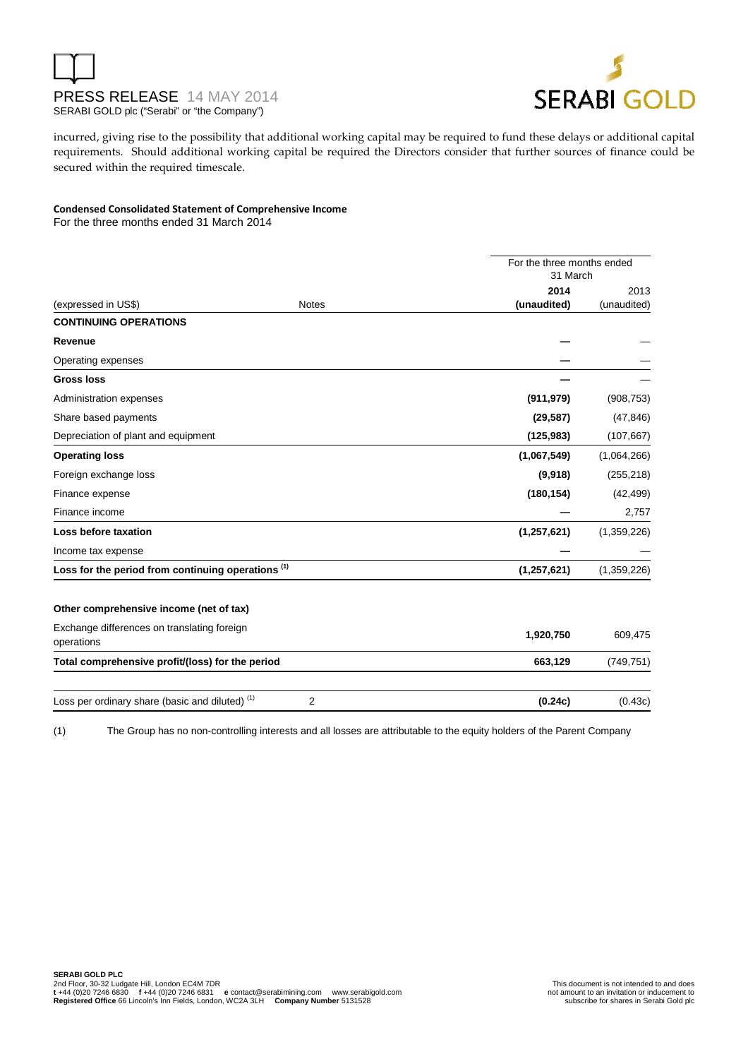



incurred, giving rise to the possibility that additional working capital may be required to fund these delays or additional capital requirements. Should additional working capital be required the Directors consider that further sources of finance could be secured within the required timescale.

### **Condensed Consolidated Statement of Comprehensive Income**

For the three months ended 31 March 2014

|                                                               |              | For the three months ended |             |
|---------------------------------------------------------------|--------------|----------------------------|-------------|
|                                                               |              | 31 March                   |             |
|                                                               |              | 2014                       | 2013        |
| (expressed in US\$)                                           | <b>Notes</b> | (unaudited)                | (unaudited) |
| <b>CONTINUING OPERATIONS</b>                                  |              |                            |             |
| Revenue                                                       |              |                            |             |
| Operating expenses                                            |              |                            |             |
| <b>Gross loss</b>                                             |              |                            |             |
| Administration expenses                                       |              | (911, 979)                 | (908, 753)  |
| Share based payments                                          |              | (29, 587)                  | (47, 846)   |
| Depreciation of plant and equipment                           |              | (125, 983)                 | (107, 667)  |
| <b>Operating loss</b>                                         |              | (1,067,549)                | (1,064,266) |
| Foreign exchange loss                                         |              | (9,918)                    | (255, 218)  |
| Finance expense                                               |              | (180, 154)                 | (42, 499)   |
| Finance income                                                |              |                            | 2,757       |
| <b>Loss before taxation</b>                                   |              | (1, 257, 621)              | (1,359,226) |
| Income tax expense                                            |              |                            |             |
| Loss for the period from continuing operations <sup>(1)</sup> |              | (1,257,621)                | (1,359,226) |
| Other comprehensive income (net of tax)                       |              |                            |             |
| Exchange differences on translating foreign<br>operations     |              | 1,920,750                  | 609,475     |
| Total comprehensive profit/(loss) for the period              |              | 663,129                    | (749, 751)  |
| Loss per ordinary share (basic and diluted) <sup>(1)</sup>    | 2            | (0.24c)                    | (0.43c)     |

(1) The Group has no non-controlling interests and all losses are attributable to the equity holders of the Parent Company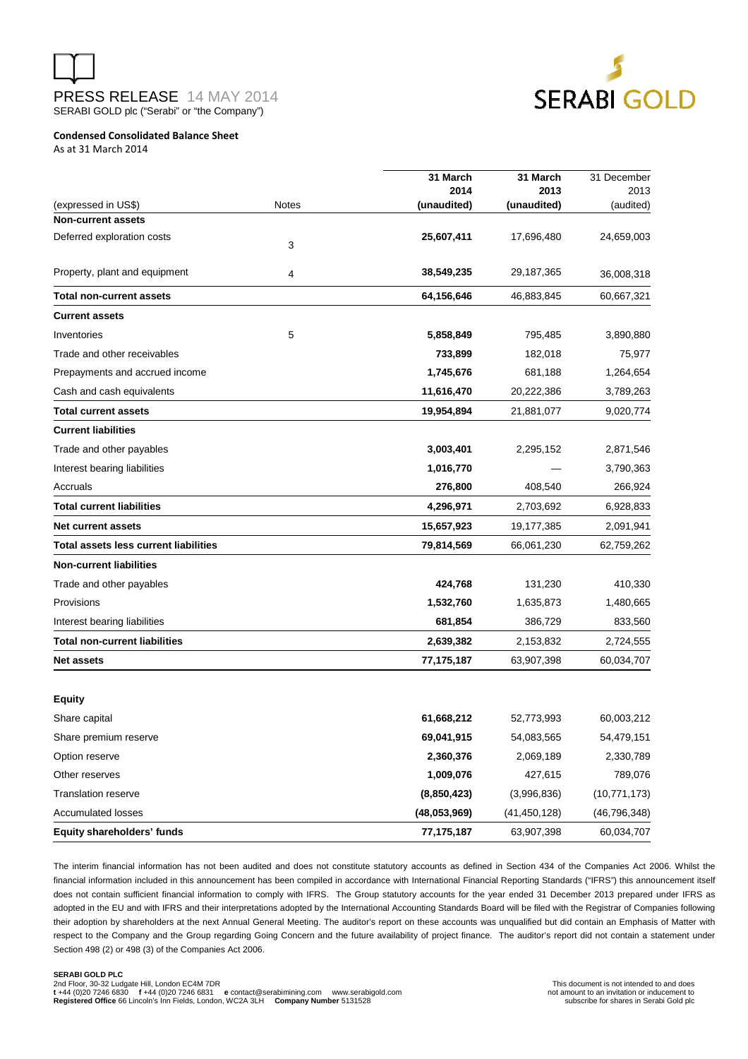

### **Condensed Consolidated Balance Sheet**

As at 31 March 2014

|                                              |              | 31 March<br>2014 | 31 March<br>2013 | 31 December<br>2013 |
|----------------------------------------------|--------------|------------------|------------------|---------------------|
| (expressed in US\$)                          | <b>Notes</b> | (unaudited)      | (unaudited)      | (audited)           |
| <b>Non-current assets</b>                    |              |                  |                  |                     |
| Deferred exploration costs                   | 3            | 25,607,411       | 17,696,480       | 24,659,003          |
| Property, plant and equipment                | 4            | 38,549,235       | 29,187,365       | 36,008,318          |
| <b>Total non-current assets</b>              |              | 64,156,646       | 46,883,845       | 60,667,321          |
| <b>Current assets</b>                        |              |                  |                  |                     |
| Inventories                                  | 5            | 5,858,849        | 795,485          | 3,890,880           |
| Trade and other receivables                  |              | 733,899          | 182,018          | 75,977              |
| Prepayments and accrued income               |              | 1,745,676        | 681,188          | 1,264,654           |
| Cash and cash equivalents                    |              | 11,616,470       | 20,222,386       | 3,789,263           |
| <b>Total current assets</b>                  |              | 19,954,894       | 21,881,077       | 9,020,774           |
| <b>Current liabilities</b>                   |              |                  |                  |                     |
| Trade and other payables                     |              | 3,003,401        | 2,295,152        | 2,871,546           |
| Interest bearing liabilities                 |              | 1,016,770        |                  | 3,790,363           |
| Accruals                                     |              | 276,800          | 408,540          | 266,924             |
| <b>Total current liabilities</b>             |              | 4,296,971        | 2,703,692        | 6,928,833           |
| <b>Net current assets</b>                    |              | 15,657,923       | 19,177,385       | 2,091,941           |
| <b>Total assets less current liabilities</b> |              | 79,814,569       | 66,061,230       | 62,759,262          |
| <b>Non-current liabilities</b>               |              |                  |                  |                     |
| Trade and other payables                     |              | 424,768          | 131,230          | 410,330             |
| Provisions                                   |              | 1,532,760        | 1,635,873        | 1,480,665           |
| Interest bearing liabilities                 |              | 681,854          | 386,729          | 833,560             |
| <b>Total non-current liabilities</b>         |              | 2,639,382        | 2,153,832        | 2,724,555           |
| <b>Net assets</b>                            |              | 77, 175, 187     | 63,907,398       | 60,034,707          |
|                                              |              |                  |                  |                     |
| Equity                                       |              |                  |                  |                     |
| Share capital                                |              | 61,668,212       | 52,773,993       | 60,003,212          |
| Share premium reserve                        |              | 69,041,915       | 54,083,565       | 54,479,151          |
| Option reserve                               |              | 2,360,376        | 2,069,189        | 2,330,789           |
| Other reserves                               |              | 1,009,076        | 427,615          | 789,076             |
| <b>Translation reserve</b>                   |              | (8,850,423)      | (3,996,836)      | (10, 771, 173)      |
| <b>Accumulated losses</b>                    |              | (48,053,969)     | (41, 450, 128)   | (46, 796, 348)      |
| Equity shareholders' funds                   |              | 77, 175, 187     | 63,907,398       | 60,034,707          |

The interim financial information has not been audited and does not constitute statutory accounts as defined in Section 434 of the Companies Act 2006. Whilst the financial information included in this announcement has been compiled in accordance with International Financial Reporting Standards ("IFRS") this announcement itself does not contain sufficient financial information to comply with IFRS. The Group statutory accounts for the year ended 31 December 2013 prepared under IFRS as adopted in the EU and with IFRS and their interpretations adopted by the International Accounting Standards Board will be filed with the Registrar of Companies following their adoption by shareholders at the next Annual General Meeting. The auditor's report on these accounts was unqualified but did contain an Emphasis of Matter with respect to the Company and the Group regarding Going Concern and the future availability of project finance. The auditor's report did not contain a statement under Section 498 (2) or 498 (3) of the Companies Act 2006.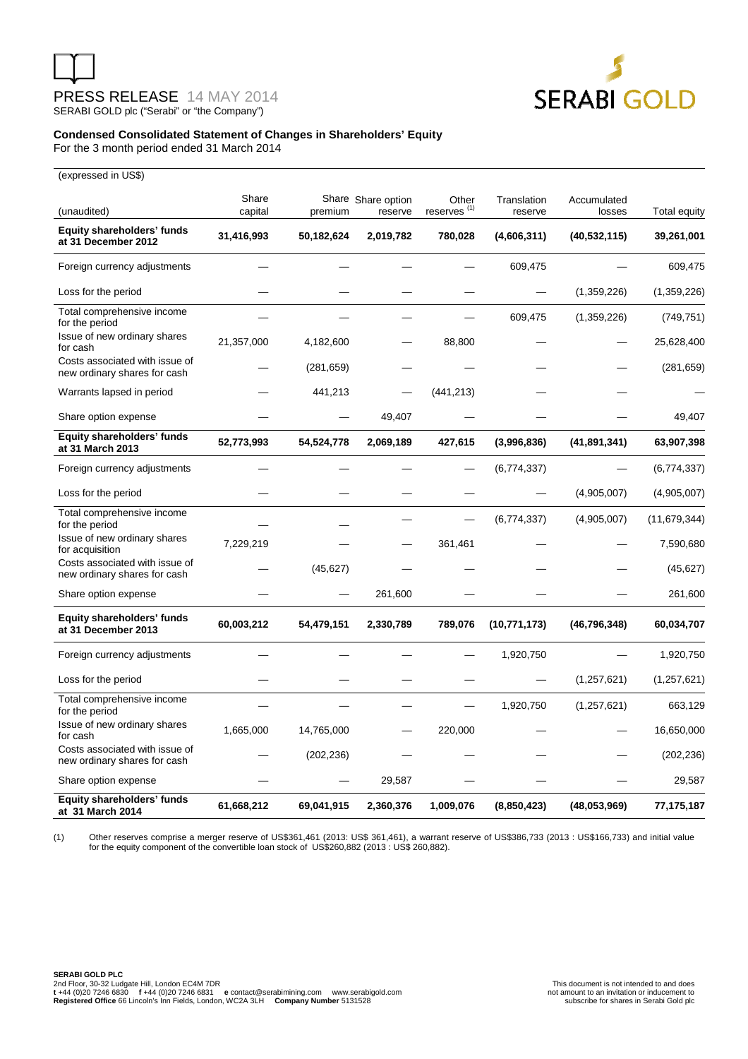



# **Condensed Consolidated Statement of Changes in Shareholders' Equity**

For the 3 month period ended 31 March 2014

| (expressed in US\$)                                            |                  |            |                               |                                  |                        |                       |                     |
|----------------------------------------------------------------|------------------|------------|-------------------------------|----------------------------------|------------------------|-----------------------|---------------------|
| (unaudited)                                                    | Share<br>capital | premium    | Share Share option<br>reserve | Other<br>reserves <sup>(1)</sup> | Translation<br>reserve | Accumulated<br>losses | <b>Total equity</b> |
| Equity shareholders' funds<br>at 31 December 2012              | 31,416,993       | 50,182,624 | 2,019,782                     | 780,028                          | (4,606,311)            | (40, 532, 115)        | 39,261,001          |
| Foreign currency adjustments                                   |                  |            |                               |                                  | 609,475                |                       | 609,475             |
| Loss for the period                                            |                  |            |                               |                                  |                        | (1,359,226)           | (1,359,226)         |
| Total comprehensive income<br>for the period                   |                  |            |                               |                                  | 609,475                | (1,359,226)           | (749, 751)          |
| Issue of new ordinary shares<br>for cash                       | 21,357,000       | 4,182,600  |                               | 88,800                           |                        |                       | 25,628,400          |
| Costs associated with issue of<br>new ordinary shares for cash |                  | (281, 659) |                               |                                  |                        |                       | (281, 659)          |
| Warrants lapsed in period                                      |                  | 441,213    |                               | (441, 213)                       |                        |                       |                     |
| Share option expense                                           |                  |            | 49,407                        |                                  |                        |                       | 49,407              |
| Equity shareholders' funds<br>at 31 March 2013                 | 52,773,993       | 54,524,778 | 2,069,189                     | 427,615                          | (3,996,836)            | (41, 891, 341)        | 63,907,398          |
| Foreign currency adjustments                                   |                  |            |                               |                                  | (6,774,337)            |                       | (6,774,337)         |
| Loss for the period                                            |                  |            |                               |                                  |                        | (4,905,007)           | (4,905,007)         |
| Total comprehensive income<br>for the period                   |                  |            |                               |                                  | (6,774,337)            | (4,905,007)           | (11, 679, 344)      |
| Issue of new ordinary shares<br>for acquisition                | 7,229,219        |            |                               | 361,461                          |                        |                       | 7,590,680           |
| Costs associated with issue of<br>new ordinary shares for cash |                  | (45, 627)  |                               |                                  |                        |                       | (45, 627)           |
| Share option expense                                           |                  |            | 261,600                       |                                  |                        |                       | 261,600             |
| Equity shareholders' funds<br>at 31 December 2013              | 60,003,212       | 54,479,151 | 2,330,789                     | 789,076                          | (10, 771, 173)         | (46, 796, 348)        | 60,034,707          |
| Foreign currency adjustments                                   |                  |            |                               |                                  | 1,920,750              |                       | 1,920,750           |
| Loss for the period                                            |                  |            |                               |                                  |                        | (1,257,621)           | (1,257,621)         |
| Total comprehensive income<br>for the period                   |                  |            |                               |                                  | 1,920,750              | (1,257,621)           | 663,129             |
| Issue of new ordinary shares<br>for cash                       | 1,665,000        | 14,765,000 |                               | 220,000                          |                        |                       | 16,650,000          |
| Costs associated with issue of<br>new ordinary shares for cash |                  | (202, 236) |                               |                                  |                        |                       | (202, 236)          |
| Share option expense                                           |                  |            | 29,587                        |                                  |                        |                       | 29,587              |
| Equity shareholders' funds<br>at 31 March 2014                 | 61,668,212       | 69,041,915 | 2,360,376                     | 1,009,076                        | (8,850,423)            | (48,053,969)          | 77,175,187          |

(1) Other reserves comprise a merger reserve of US\$361,461 (2013: US\$ 361,461), a warrant reserve of US\$386,733 (2013 : US\$166,733) and initial value for the equity component of the convertible loan stock of US\$260,882 (2013 : US\$ 260,882).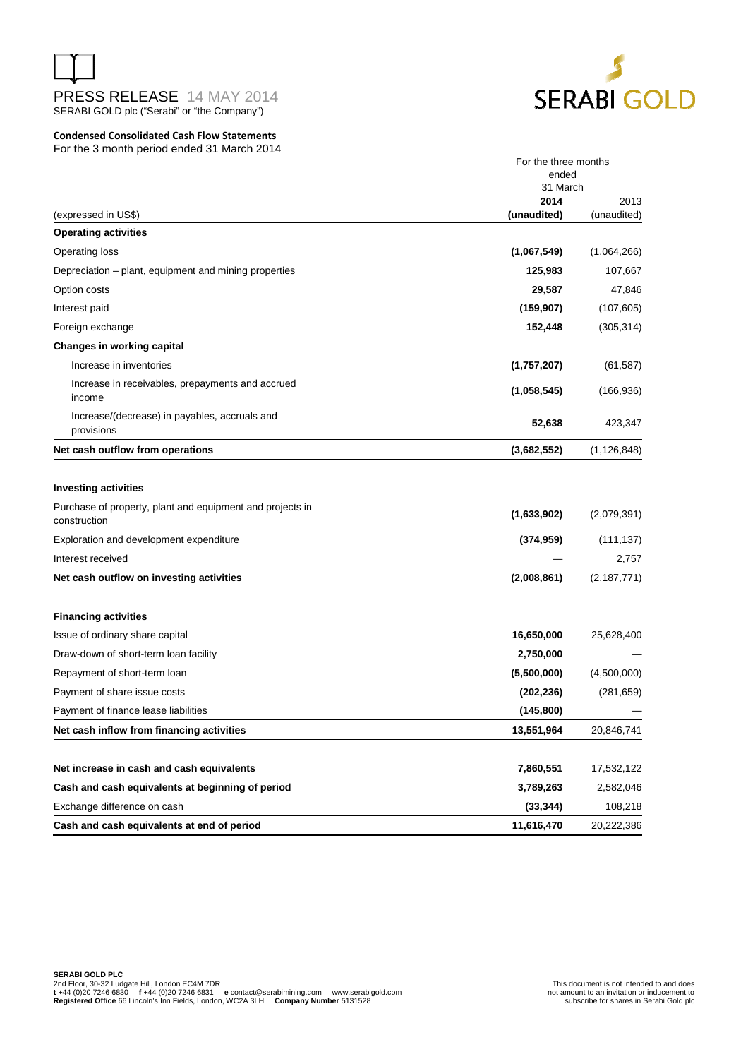



### **Condensed Consolidated Cash Flow Statements**  For the 3 month period ended 31 March 2014

|                                                                                                                                                     | For the three months<br>ended<br>31 March |                           |
|-----------------------------------------------------------------------------------------------------------------------------------------------------|-------------------------------------------|---------------------------|
|                                                                                                                                                     | 2014                                      | 2013                      |
| (expressed in US\$)                                                                                                                                 | (unaudited)                               | (unaudited)               |
| <b>Operating activities</b>                                                                                                                         |                                           |                           |
| Operating loss                                                                                                                                      | (1,067,549)                               | (1,064,266)               |
| Depreciation – plant, equipment and mining properties                                                                                               | 125,983                                   | 107,667                   |
| Option costs                                                                                                                                        | 29,587                                    | 47,846                    |
| Interest paid                                                                                                                                       | (159, 907)                                | (107, 605)                |
| Foreign exchange                                                                                                                                    | 152,448                                   | (305, 314)                |
| Changes in working capital                                                                                                                          |                                           |                           |
| Increase in inventories                                                                                                                             | (1,757,207)                               | (61, 587)                 |
| Increase in receivables, prepayments and accrued<br>income                                                                                          | (1,058,545)                               | (166, 936)                |
| Increase/(decrease) in payables, accruals and<br>provisions                                                                                         | 52,638                                    | 423,347                   |
| Net cash outflow from operations                                                                                                                    | (3,682,552)                               | (1, 126, 848)             |
| <b>Investing activities</b><br>Purchase of property, plant and equipment and projects in<br>construction<br>Exploration and development expenditure | (1,633,902)<br>(374, 959)                 | (2,079,391)<br>(111, 137) |
| Interest received                                                                                                                                   |                                           | 2,757                     |
| Net cash outflow on investing activities                                                                                                            | (2,008,861)                               | (2, 187, 771)             |
| <b>Financing activities</b>                                                                                                                         |                                           |                           |
| Issue of ordinary share capital                                                                                                                     | 16,650,000                                | 25,628,400                |
| Draw-down of short-term loan facility                                                                                                               | 2,750,000                                 |                           |
| Repayment of short-term loan                                                                                                                        | (5,500,000)                               | (4,500,000)               |
| Payment of share issue costs                                                                                                                        | (202, 236)                                | (281, 659)                |
| Payment of finance lease liabilities                                                                                                                | (145, 800)                                |                           |
| Net cash inflow from financing activities                                                                                                           | 13,551,964                                | 20,846,741                |
| Net increase in cash and cash equivalents                                                                                                           | 7,860,551                                 | 17,532,122                |
| Cash and cash equivalents at beginning of period                                                                                                    | 3,789,263                                 | 2,582,046                 |
| Exchange difference on cash                                                                                                                         | (33, 344)                                 | 108,218                   |
| Cash and cash equivalents at end of period                                                                                                          | 11,616,470                                | 20,222,386                |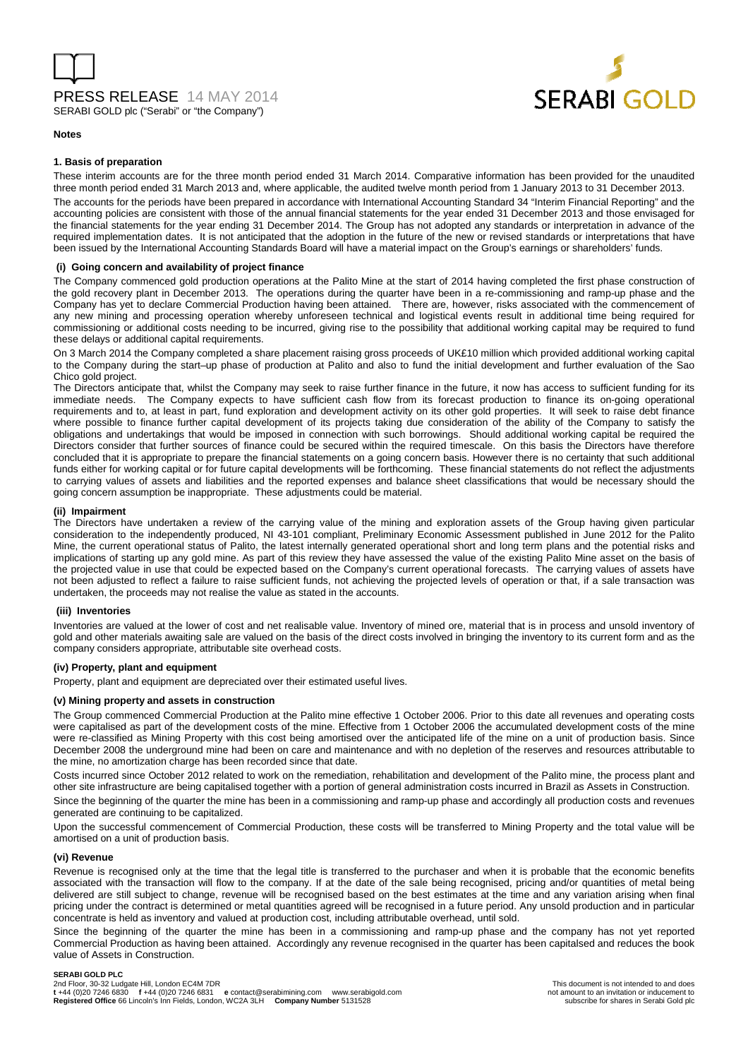

SERABI GOLD plc ("Serabi" or "the Company")



### **Notes**

### **1. Basis of preparation**

These interim accounts are for the three month period ended 31 March 2014. Comparative information has been provided for the unaudited three month period ended 31 March 2013 and, where applicable, the audited twelve month period from 1 January 2013 to 31 December 2013.

The accounts for the periods have been prepared in accordance with International Accounting Standard 34 "Interim Financial Reporting" and the accounting policies are consistent with those of the annual financial statements for the year ended 31 December 2013 and those envisaged for the financial statements for the year ending 31 December 2014. The Group has not adopted any standards or interpretation in advance of the required implementation dates. It is not anticipated that the adoption in the future of the new or revised standards or interpretations that have been issued by the International Accounting Standards Board will have a material impact on the Group's earnings or shareholders' funds.

#### **(i) Going concern and availability of project finance**

The Company commenced gold production operations at the Palito Mine at the start of 2014 having completed the first phase construction of the gold recovery plant in December 2013. The operations during the quarter have been in a re-commissioning and ramp-up phase and the Company has yet to declare Commercial Production having been attained. There are, however, risks associated with the commencement of any new mining and processing operation whereby unforeseen technical and logistical events result in additional time being required for commissioning or additional costs needing to be incurred, giving rise to the possibility that additional working capital may be required to fund these delays or additional capital requirements.

On 3 March 2014 the Company completed a share placement raising gross proceeds of UK£10 million which provided additional working capital to the Company during the start–up phase of production at Palito and also to fund the initial development and further evaluation of the Sao Chico gold project.

The Directors anticipate that, whilst the Company may seek to raise further finance in the future, it now has access to sufficient funding for its immediate needs. The Company expects to have sufficient cash flow from its forecast production to finance its on-going operational requirements and to, at least in part, fund exploration and development activity on its other gold properties. It will seek to raise debt finance where possible to finance further capital development of its projects taking due consideration of the ability of the Company to satisfy the obligations and undertakings that would be imposed in connection with such borrowings. Should additional working capital be required the Directors consider that further sources of finance could be secured within the required timescale. On this basis the Directors have therefore concluded that it is appropriate to prepare the financial statements on a going concern basis. However there is no certainty that such additional funds either for working capital or for future capital developments will be forthcoming. These financial statements do not reflect the adjustments to carrying values of assets and liabilities and the reported expenses and balance sheet classifications that would be necessary should the going concern assumption be inappropriate. These adjustments could be material.

#### **(ii) Impairment**

The Directors have undertaken a review of the carrying value of the mining and exploration assets of the Group having given particular consideration to the independently produced, NI 43-101 compliant, Preliminary Economic Assessment published in June 2012 for the Palito Mine, the current operational status of Palito, the latest internally generated operational short and long term plans and the potential risks and implications of starting up any gold mine. As part of this review they have assessed the value of the existing Palito Mine asset on the basis of the projected value in use that could be expected based on the Company's current operational forecasts. The carrying values of assets have not been adjusted to reflect a failure to raise sufficient funds, not achieving the projected levels of operation or that, if a sale transaction was undertaken, the proceeds may not realise the value as stated in the accounts.

#### **(iii) Inventories**

Inventories are valued at the lower of cost and net realisable value. Inventory of mined ore, material that is in process and unsold inventory of gold and other materials awaiting sale are valued on the basis of the direct costs involved in bringing the inventory to its current form and as the company considers appropriate, attributable site overhead costs.

## **(iv) Property, plant and equipment**

Property, plant and equipment are depreciated over their estimated useful lives.

#### **(v) Mining property and assets in construction**

The Group commenced Commercial Production at the Palito mine effective 1 October 2006. Prior to this date all revenues and operating costs were capitalised as part of the development costs of the mine. Effective from 1 October 2006 the accumulated development costs of the mine were re-classified as Mining Property with this cost being amortised over the anticipated life of the mine on a unit of production basis. Since December 2008 the underground mine had been on care and maintenance and with no depletion of the reserves and resources attributable to the mine, no amortization charge has been recorded since that date.

Costs incurred since October 2012 related to work on the remediation, rehabilitation and development of the Palito mine, the process plant and other site infrastructure are being capitalised together with a portion of general administration costs incurred in Brazil as Assets in Construction.

Since the beginning of the quarter the mine has been in a commissioning and ramp-up phase and accordingly all production costs and revenues generated are continuing to be capitalized.

Upon the successful commencement of Commercial Production, these costs will be transferred to Mining Property and the total value will be amortised on a unit of production basis.

### **(vi) Revenue**

Revenue is recognised only at the time that the legal title is transferred to the purchaser and when it is probable that the economic benefits associated with the transaction will flow to the company. If at the date of the sale being recognised, pricing and/or quantities of metal being delivered are still subject to change, revenue will be recognised based on the best estimates at the time and any variation arising when final pricing under the contract is determined or metal quantities agreed will be recognised in a future period. Any unsold production and in particular concentrate is held as inventory and valued at production cost, including attributable overhead, until sold.

Since the beginning of the quarter the mine has been in a commissioning and ramp-up phase and the company has not yet reported Commercial Production as having been attained. Accordingly any revenue recognised in the quarter has been capitalsed and reduces the book value of Assets in Construction.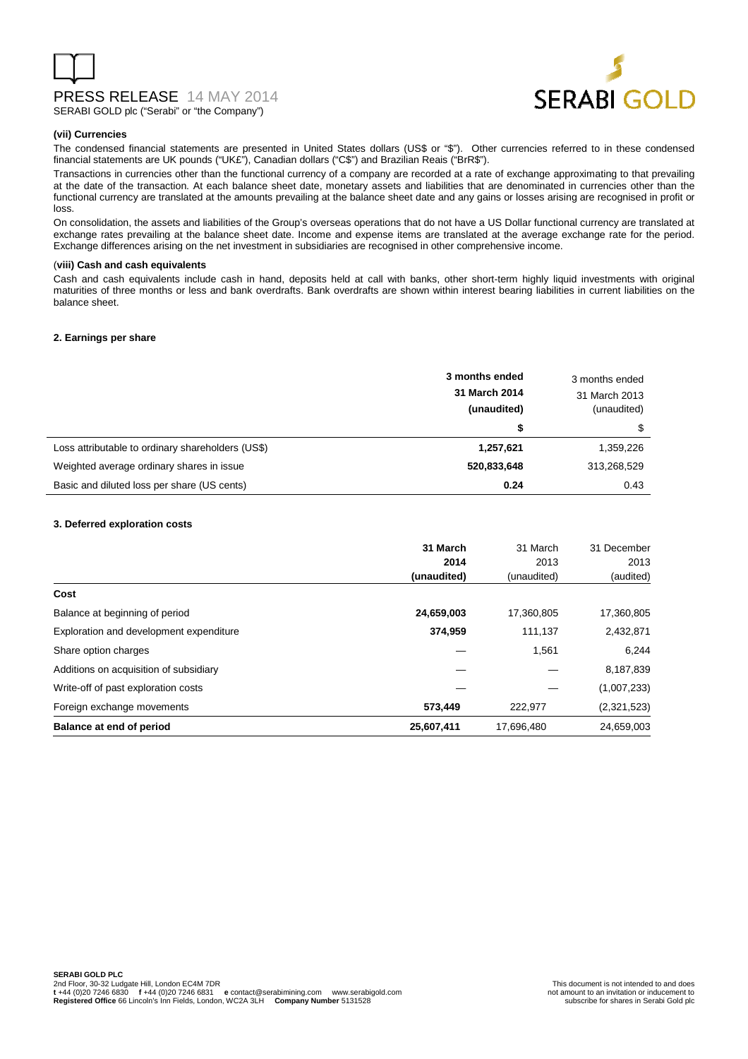# PRESS RELEASE 14 MAY 2014

SERABI GOLD plc ("Serabi" or "the Company")



### **(vii) Currencies**

The condensed financial statements are presented in United States dollars (US\$ or "\$"). Other currencies referred to in these condensed financial statements are UK pounds ("UK£"), Canadian dollars ("C\$") and Brazilian Reais ("BrR\$").

Transactions in currencies other than the functional currency of a company are recorded at a rate of exchange approximating to that prevailing at the date of the transaction. At each balance sheet date, monetary assets and liabilities that are denominated in currencies other than the functional currency are translated at the amounts prevailing at the balance sheet date and any gains or losses arising are recognised in profit or loss.

On consolidation, the assets and liabilities of the Group's overseas operations that do not have a US Dollar functional currency are translated at exchange rates prevailing at the balance sheet date. Income and expense items are translated at the average exchange rate for the period. Exchange differences arising on the net investment in subsidiaries are recognised in other comprehensive income.

#### (**viii) Cash and cash equivalents**

Cash and cash equivalents include cash in hand, deposits held at call with banks, other short-term highly liquid investments with original maturities of three months or less and bank overdrafts. Bank overdrafts are shown within interest bearing liabilities in current liabilities on the balance sheet.

#### **2. Earnings per share**

|                                                   | 3 months ended<br>31 March 2014<br>(unaudited) | 3 months ended<br>31 March 2013<br>(unaudited) |
|---------------------------------------------------|------------------------------------------------|------------------------------------------------|
|                                                   | \$                                             | \$                                             |
| Loss attributable to ordinary shareholders (US\$) | 1,257,621                                      | 1,359,226                                      |
| Weighted average ordinary shares in issue         | 520,833,648                                    | 313,268,529                                    |
| Basic and diluted loss per share (US cents)       | 0.24                                           | 0.43                                           |

### **3. Deferred exploration costs**

| 31 March<br>2014<br>(unaudited) | 31 March<br>2013<br>(unaudited) | 31 December<br>2013<br>(audited) |            |            |            |
|---------------------------------|---------------------------------|----------------------------------|------------|------------|------------|
|                                 |                                 |                                  |            |            |            |
|                                 |                                 |                                  | 24,659,003 | 17,360,805 | 17,360,805 |
| 374,959                         | 111,137                         | 2,432,871                        |            |            |            |
|                                 | 1,561                           | 6,244                            |            |            |            |
|                                 |                                 | 8,187,839                        |            |            |            |
|                                 |                                 | (1,007,233)                      |            |            |            |
| 573,449                         | 222,977                         | (2,321,523)                      |            |            |            |
| 25,607,411                      | 17,696,480                      | 24,659,003                       |            |            |            |
|                                 |                                 |                                  |            |            |            |